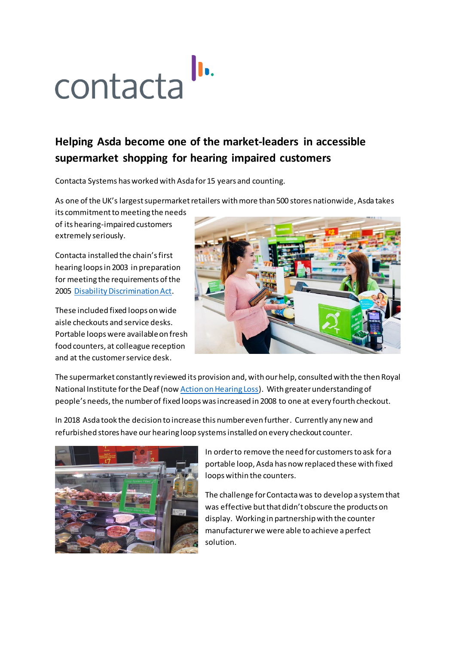## contacta<sup>ll.</sup>

## **Helping Asda become one of the market-leaders in accessible supermarket shopping for hearing impaired customers**

Contacta Systems has worked with Asda for 15 years and counting.

As one of the UK's largest supermarket retailers with more than 500 stores nationwide, Asda takes

its commitment to meeting the needs of its hearing-impaired customers extremely seriously.

Contacta installed the chain's first hearing loops in 2003 in preparation for meeting the requirements of the 2005 [Disability Discrimination Act](https://www.contacta.co.uk/hearing-loops-legislation).

These included fixed loops on wide aisle checkouts and service desks. Portable loops were availableon fresh food counters, at colleague reception and at the customer service desk.



The supermarket constantly reviewed its provision and, with our help, consulted with the then Royal National Institute for the Deaf (no[w Action on Hearing Loss\)](https://www.actiononhearingloss.org.uk/). With greater understanding of people's needs, the number of fixed loops was increased in 2008 to one at every fourth checkout.

In 2018 Asda took the decision to increase this number even further. Currently any new and refurbished stores have our hearing loop systems installed on every checkout counter.



In order to remove the need for customers to ask for a portable loop, Asda has now replaced these with fixed loops within the counters.

The challenge for Contacta was to develop a system that was effective but that didn't obscure the products on display. Working in partnership with the counter manufacturer we were able to achieve a perfect solution.